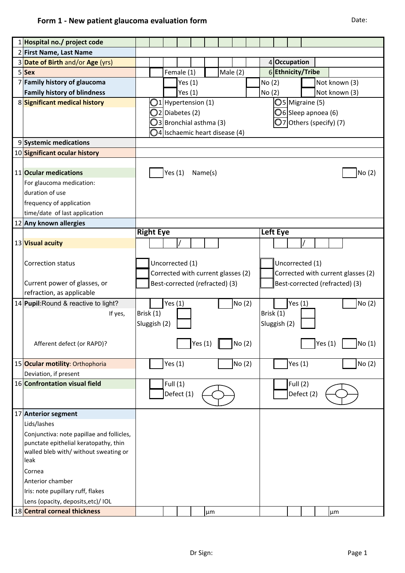| 1 Hospital no./ project code                                                       |                                    |                                          |                    |         |                        |                 |        |                   |                                                                      |                               |  |  |                         |  |
|------------------------------------------------------------------------------------|------------------------------------|------------------------------------------|--------------------|---------|------------------------|-----------------|--------|-------------------|----------------------------------------------------------------------|-------------------------------|--|--|-------------------------|--|
| 2 First Name, Last Name                                                            |                                    |                                          |                    |         |                        |                 |        |                   |                                                                      |                               |  |  |                         |  |
| 3 Date of Birth and/or Age (yrs)                                                   |                                    |                                          |                    |         |                        |                 |        |                   | 4 Occupation                                                         |                               |  |  |                         |  |
| 5 Sex                                                                              | Female (1)<br>Male $(2)$           |                                          |                    |         |                        |                 |        | 6 Ethnicity/Tribe |                                                                      |                               |  |  |                         |  |
| 7 Family history of glaucoma                                                       |                                    |                                          | Yes $(1)$          |         |                        |                 |        | No(2)             |                                                                      |                               |  |  | Not known (3)           |  |
| <b>Family history of blindness</b>                                                 |                                    |                                          | Yes $(1)$          |         |                        |                 |        | No(2)             |                                                                      |                               |  |  | Not known (3)           |  |
| 8 Significant medical history                                                      |                                    |                                          | 1 Hypertension (1) |         |                        |                 |        |                   |                                                                      | O5 Migraine (5)               |  |  |                         |  |
|                                                                                    |                                    |                                          | $2$ Diabetes (2)   |         |                        |                 |        |                   |                                                                      | $\bigcirc$ 6 Sleep apnoea (6) |  |  |                         |  |
|                                                                                    |                                    |                                          |                    |         | 3 Bronchial asthma (3) |                 |        |                   |                                                                      |                               |  |  | O7 Others (specify) (7) |  |
|                                                                                    |                                    | $\bigcirc$ 4 Ischaemic heart disease (4) |                    |         |                        |                 |        |                   |                                                                      |                               |  |  |                         |  |
| 9 Systemic medications                                                             |                                    |                                          |                    |         |                        |                 |        |                   |                                                                      |                               |  |  |                         |  |
| 10 Significant ocular history                                                      |                                    |                                          |                    |         |                        |                 |        |                   |                                                                      |                               |  |  |                         |  |
|                                                                                    |                                    |                                          |                    |         |                        |                 |        |                   |                                                                      |                               |  |  |                         |  |
| 11 Ocular medications                                                              |                                    | Yes(1)                                   |                    | Name(s) |                        |                 |        |                   |                                                                      |                               |  |  | No (2)                  |  |
| For glaucoma medication:                                                           |                                    |                                          |                    |         |                        |                 |        |                   |                                                                      |                               |  |  |                         |  |
| duration of use                                                                    |                                    |                                          |                    |         |                        |                 |        |                   |                                                                      |                               |  |  |                         |  |
|                                                                                    |                                    |                                          |                    |         |                        |                 |        |                   |                                                                      |                               |  |  |                         |  |
| frequency of application                                                           |                                    |                                          |                    |         |                        |                 |        |                   |                                                                      |                               |  |  |                         |  |
| time/date of last application                                                      |                                    |                                          |                    |         |                        |                 |        |                   |                                                                      |                               |  |  |                         |  |
| 12 Any known allergies                                                             | <b>Right Eye</b>                   |                                          |                    |         |                        | <b>Left Eye</b> |        |                   |                                                                      |                               |  |  |                         |  |
|                                                                                    |                                    |                                          |                    |         |                        |                 |        |                   |                                                                      |                               |  |  |                         |  |
| 13 Visual acuity                                                                   |                                    |                                          |                    |         |                        |                 |        |                   |                                                                      |                               |  |  |                         |  |
|                                                                                    |                                    |                                          |                    |         |                        |                 |        |                   |                                                                      |                               |  |  |                         |  |
| <b>Correction status</b>                                                           | Uncorrected (1)                    |                                          |                    |         |                        |                 |        | Uncorrected (1)   |                                                                      |                               |  |  |                         |  |
|                                                                                    | Corrected with current glasses (2) |                                          |                    |         |                        |                 |        |                   | Corrected with current glasses (2)<br>Best-corrected (refracted) (3) |                               |  |  |                         |  |
| Current power of glasses, or                                                       | Best-corrected (refracted) (3)     |                                          |                    |         |                        |                 |        |                   |                                                                      |                               |  |  |                         |  |
| refraction, as applicable                                                          |                                    |                                          |                    |         |                        |                 |        |                   |                                                                      |                               |  |  |                         |  |
| 14 Pupil: Round & reactive to light?                                               |                                    | Yes $(1)$                                |                    |         |                        |                 | No (2) |                   |                                                                      | Yes $(1)$                     |  |  | No(2)                   |  |
| If yes,                                                                            | Brisk (1)                          |                                          |                    |         |                        |                 |        |                   | Brisk (1)                                                            |                               |  |  |                         |  |
|                                                                                    | Sluggish (2)                       |                                          |                    |         |                        |                 |        |                   | Sluggish (2)                                                         |                               |  |  |                         |  |
|                                                                                    |                                    |                                          |                    |         |                        |                 |        |                   |                                                                      |                               |  |  |                         |  |
| Afferent defect (or RAPD)?                                                         | Yes(1)<br>NO(2)                    |                                          |                    |         |                        |                 |        | Yes(1)<br>No (1)  |                                                                      |                               |  |  |                         |  |
|                                                                                    |                                    |                                          |                    |         |                        |                 |        |                   |                                                                      |                               |  |  |                         |  |
| 15 Ocular motility: Orthophoria<br>Deviation, if present                           |                                    | Yes $(1)$                                |                    |         |                        |                 | No (2) |                   |                                                                      | Yes $(1)$                     |  |  | No (2)                  |  |
| 16 Confrontation visual field                                                      |                                    | Full $(1)$                               |                    |         |                        |                 |        |                   |                                                                      | Full (2)                      |  |  |                         |  |
|                                                                                    |                                    |                                          | Defect (1)         |         |                        |                 |        |                   |                                                                      | Defect (2)                    |  |  |                         |  |
|                                                                                    |                                    |                                          |                    |         |                        |                 |        |                   |                                                                      |                               |  |  |                         |  |
| 17 Anterior segment                                                                |                                    |                                          |                    |         |                        |                 |        |                   |                                                                      |                               |  |  |                         |  |
| Lids/lashes                                                                        |                                    |                                          |                    |         |                        |                 |        |                   |                                                                      |                               |  |  |                         |  |
|                                                                                    |                                    |                                          |                    |         |                        |                 |        |                   |                                                                      |                               |  |  |                         |  |
| Conjunctiva: note papillae and follicles,<br>punctate epithelial keratopathy, thin |                                    |                                          |                    |         |                        |                 |        |                   |                                                                      |                               |  |  |                         |  |
| walled bleb with/ without sweating or                                              |                                    |                                          |                    |         |                        |                 |        |                   |                                                                      |                               |  |  |                         |  |
| leak                                                                               |                                    |                                          |                    |         |                        |                 |        |                   |                                                                      |                               |  |  |                         |  |
| Cornea                                                                             |                                    |                                          |                    |         |                        |                 |        |                   |                                                                      |                               |  |  |                         |  |
| Anterior chamber                                                                   |                                    |                                          |                    |         |                        |                 |        |                   |                                                                      |                               |  |  |                         |  |
| Iris: note pupillary ruff, flakes                                                  |                                    |                                          |                    |         |                        |                 |        |                   |                                                                      |                               |  |  |                         |  |
| Lens (opacity, deposits, etc)/ IOL                                                 |                                    |                                          |                    |         |                        |                 |        |                   |                                                                      |                               |  |  |                         |  |
| 18 Central corneal thickness                                                       |                                    |                                          |                    |         | μm                     |                 |        |                   |                                                                      |                               |  |  |                         |  |
|                                                                                    |                                    |                                          |                    |         |                        |                 |        |                   |                                                                      |                               |  |  | μm                      |  |